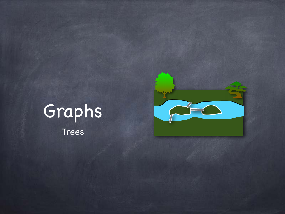



Trees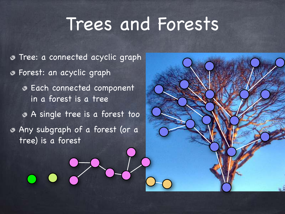### Trees and Forests

Tree: a connected acyclic graph Forest: an acyclic graph Each connected component in a forest is a tree A single tree is a forest too Any subgraph of a forest (or a tree) is a forest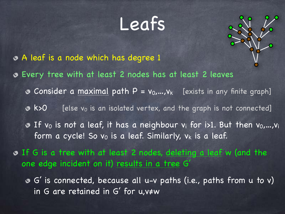#### Leafs



- A leaf is a node which has degree 1
- Every tree with at least 2 nodes has at least 2 leaves
	- **O** Consider a maximal path  $P = v_0, ..., v_k$  [exists in any finite graph]
	- $\bullet$  k>0 [else v<sub>0</sub> is an isolated vertex, and the graph is not connected]
	- **B** If v<sub>0</sub> is not a leaf, it has a neighbour v<sub>i</sub> for i>1. But then v<sub>0</sub>,...,v<sub>i</sub> form a cycle! So  $v_0$  is a leaf. Similarly,  $v_k$  is a leaf.
- If G is a tree with at least 2 nodes, deleting a leaf w (and the one edge incident on it) results in a tree G'
	- G' is connected, because all u-v paths (i.e., paths from u to v) in G are retained in G' for u,v≠w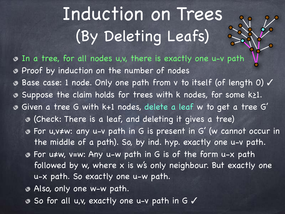### Induction on Trees (By Deleting Leafs)

- In a tree, for all nodes u,v, there is exactly one u-v path Proof by induction on the number of nodes Base case: 1 node. Only one path from v to itself (of length 0) ✓ Suppose the claim holds for trees with k nodes, for some k≥1. ◔ Given a tree G with k+1 nodes, delete a leaf w to get a tree G' (Check: There is a leaf, and deleting it gives a tree) For u,v≠w: any u-v path in G is present in G' (w cannot occur in the middle of a path). So, by ind. hyp. exactly one u-v path. For u≠w, v=w: Any u-w path in G is of the form u-x path followed by w, where x is w's only neighbour. But exactly one u-x path. So exactly one u-w path.
	- Also, only one w-w path.
	- So for all u,v, exactly one u-v path in G ✓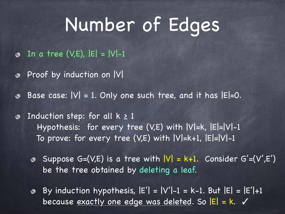## Number of Edges

- $\odot$  In a tree (V,E),  $|E| = |V|-1$
- Proof by induction on  $|V|$
- Base case:  $|V| = 1$ . Only one such tree, and it has  $|E|=0$ . ◈
- Induction step: for all  $k \geq 1$ ⊛ Hypothesis: for every tree (V,E) with |V|=k, |E|=|V|-1 To prove: for every tree (V,E) with |V|=k+1, |E|=|V|-1
	- Suppose  $G=(V,E)$  is a tree with  $|V| = k+1$ . Consider  $G'=(V',E')$ be the tree obtained by deleting a leaf.
	- By induction hypothesis,  $|E'| = |V'|-1 = k-1$ . But  $|E| = |E'|+1$ because exactly one edge was deleted. So  $|E| = k$ .  $\checkmark$